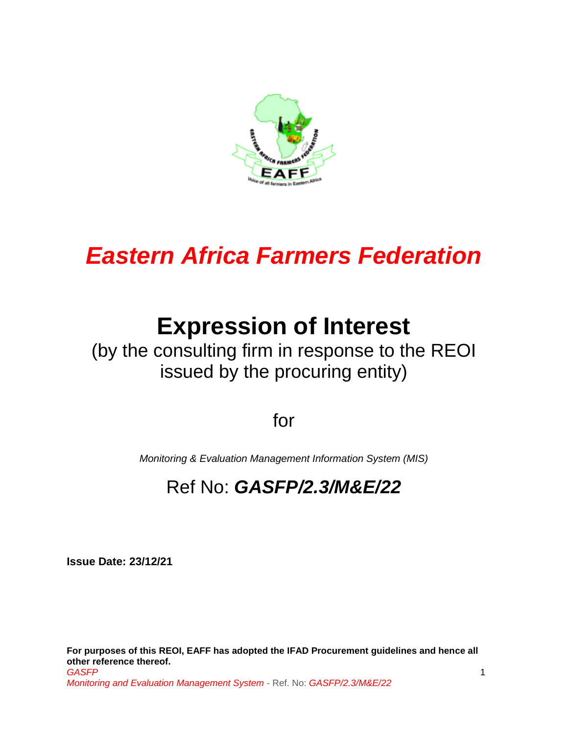

# *Eastern Africa Farmers Federation*

# **Expression of Interest**

## (by the consulting firm in response to the REOI issued by the procuring entity)

for

*Monitoring & Evaluation Management Information System (MIS)*

## Ref No: *GASFP/2.3/M&E/22*

**Issue Date: 23/12/21**

**For purposes of this REOI, EAFF has adopted the IFAD Procurement guidelines and hence all other reference thereof. GASFP** 1 *Monitoring and Evaluation Management System* - Ref. No: *GASFP/2.3/M&E/22*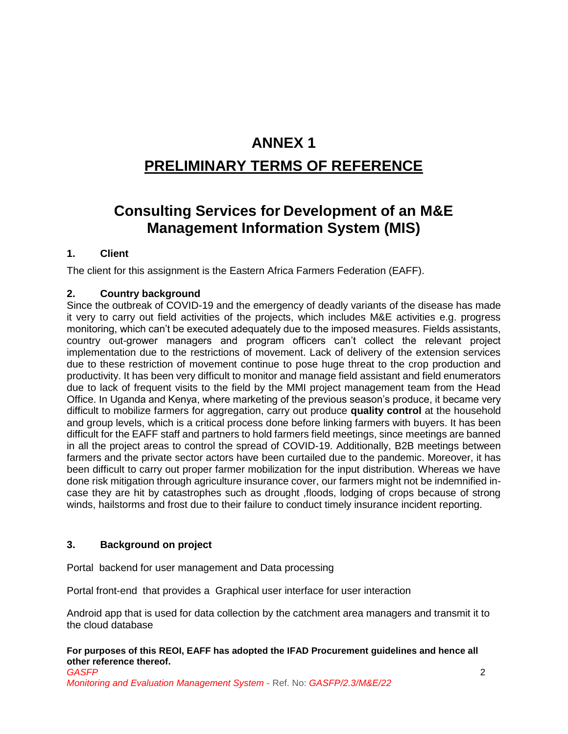## **ANNEX 1**

### **PRELIMINARY TERMS OF REFERENCE**

### **Consulting Services for Development of an M&E Management Information System (MIS)**

#### **1. Client**

The client for this assignment is the Eastern Africa Farmers Federation (EAFF).

#### **2. Country background**

Since the outbreak of COVID-19 and the emergency of deadly variants of the disease has made it very to carry out field activities of the projects, which includes M&E activities e.g. progress monitoring, which can't be executed adequately due to the imposed measures. Fields assistants, country out-grower managers and program officers can't collect the relevant project implementation due to the restrictions of movement. Lack of delivery of the extension services due to these restriction of movement continue to pose huge threat to the crop production and productivity. It has been very difficult to monitor and manage field assistant and field enumerators due to lack of frequent visits to the field by the MMI project management team from the Head Office. In Uganda and Kenya, where marketing of the previous season's produce, it became very difficult to mobilize farmers for aggregation, carry out produce **quality control** at the household and group levels, which is a critical process done before linking farmers with buyers. It has been difficult for the EAFF staff and partners to hold farmers field meetings, since meetings are banned in all the project areas to control the spread of COVID-19. Additionally, B2B meetings between farmers and the private sector actors have been curtailed due to the pandemic. Moreover, it has been difficult to carry out proper farmer mobilization for the input distribution. Whereas we have done risk mitigation through agriculture insurance cover, our farmers might not be indemnified incase they are hit by catastrophes such as drought ,floods, lodging of crops because of strong winds, hailstorms and frost due to their failure to conduct timely insurance incident reporting.

#### **3. Background on project**

Portal backend for user management and Data processing

Portal front-end that provides a Graphical user interface for user interaction

Android app that is used for data collection by the catchment area managers and transmit it to the cloud database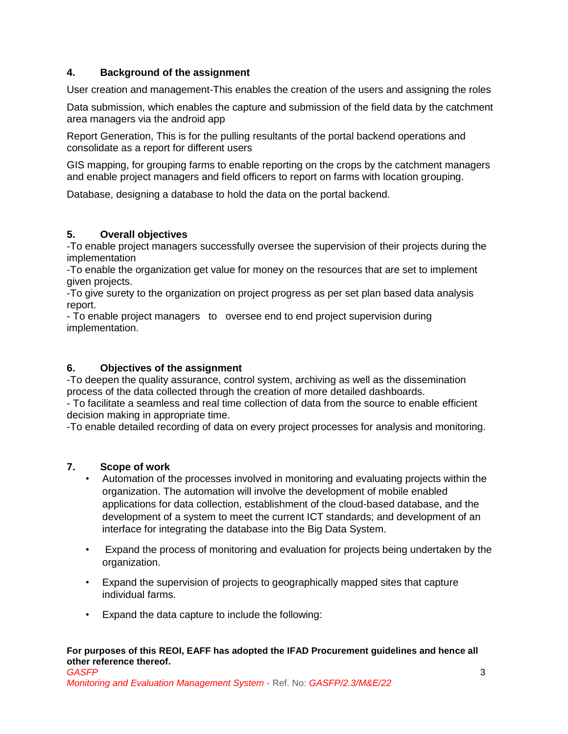#### **4. Background of the assignment**

User creation and management-This enables the creation of the users and assigning the roles

Data submission, which enables the capture and submission of the field data by the catchment area managers via the android app

Report Generation, This is for the pulling resultants of the portal backend operations and consolidate as a report for different users

GIS mapping, for grouping farms to enable reporting on the crops by the catchment managers and enable project managers and field officers to report on farms with location grouping.

Database, designing a database to hold the data on the portal backend.

#### **5. Overall objectives**

-To enable project managers successfully oversee the supervision of their projects during the implementation

-To enable the organization get value for money on the resources that are set to implement given projects.

-To give surety to the organization on project progress as per set plan based data analysis report.

- To enable project managers to oversee end to end project supervision during implementation.

#### **6. Objectives of the assignment**

-To deepen the quality assurance, control system, archiving as well as the dissemination process of the data collected through the creation of more detailed dashboards.

- To facilitate a seamless and real time collection of data from the source to enable efficient decision making in appropriate time.

-To enable detailed recording of data on every project processes for analysis and monitoring.

#### **7. Scope of work**

- Automation of the processes involved in monitoring and evaluating projects within the organization. The automation will involve the development of mobile enabled applications for data collection, establishment of the cloud-based database, and the development of a system to meet the current ICT standards; and development of an interface for integrating the database into the Big Data System.
- Expand the process of monitoring and evaluation for projects being undertaken by the organization.
- Expand the supervision of projects to geographically mapped sites that capture individual farms.
- Expand the data capture to include the following: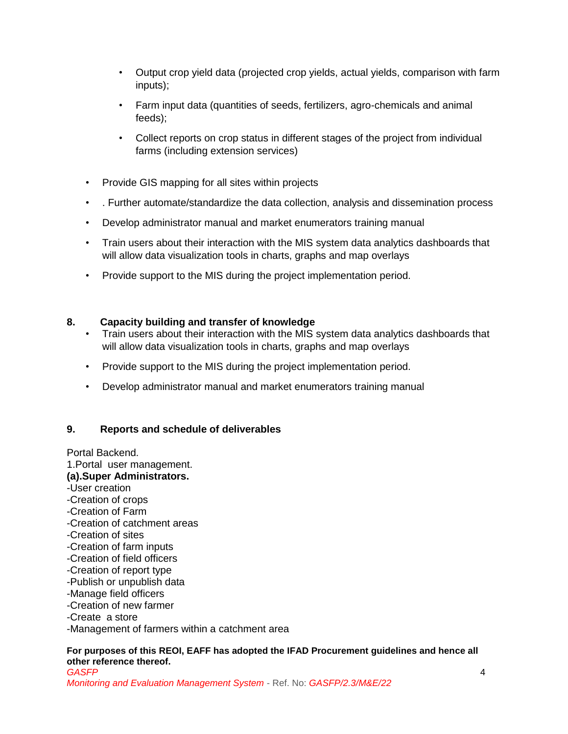- Output crop yield data (projected crop yields, actual yields, comparison with farm inputs);
- Farm input data (quantities of seeds, fertilizers, agro-chemicals and animal feeds);
- Collect reports on crop status in different stages of the project from individual farms (including extension services)
- Provide GIS mapping for all sites within projects
- . Further automate/standardize the data collection, analysis and dissemination process
- Develop administrator manual and market enumerators training manual
- Train users about their interaction with the MIS system data analytics dashboards that will allow data visualization tools in charts, graphs and map overlays
- Provide support to the MIS during the project implementation period.

#### **8. Capacity building and transfer of knowledge**

- Train users about their interaction with the MIS system data analytics dashboards that will allow data visualization tools in charts, graphs and map overlays
- Provide support to the MIS during the project implementation period.
- Develop administrator manual and market enumerators training manual

#### **9. Reports and schedule of deliverables**

Portal Backend. 1.Portal user management. **(a).Super Administrators.** -User creation -Creation of crops -Creation of Farm -Creation of catchment areas -Creation of sites -Creation of farm inputs -Creation of field officers -Creation of report type -Publish or unpublish data -Manage field officers -Creation of new farmer -Create a store -Management of farmers within a catchment area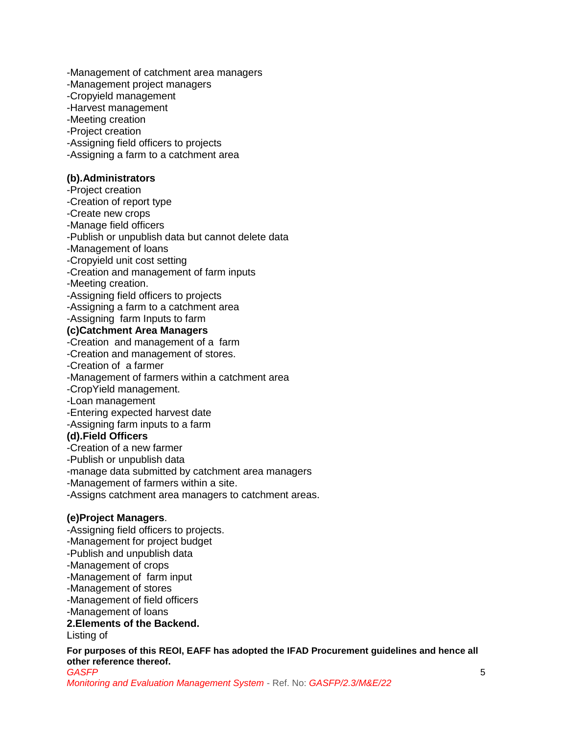-Management of catchment area managers -Management project managers -Cropyield management -Harvest management -Meeting creation -Project creation -Assigning field officers to projects -Assigning a farm to a catchment area

#### **(b).Administrators**

-Project creation -Creation of report type -Create new crops -Manage field officers -Publish or unpublish data but cannot delete data -Management of loans -Cropyield unit cost setting -Creation and management of farm inputs -Meeting creation. -Assigning field officers to projects -Assigning a farm to a catchment area -Assigning farm Inputs to farm **(c)Catchment Area Managers** -Creation and management of a farm -Creation and management of stores. -Creation of a farmer -Management of farmers within a catchment area -CropYield management. -Loan management -Entering expected harvest date -Assigning farm inputs to a farm **(d).Field Officers** -Creation of a new farmer -Publish or unpublish data -manage data submitted by catchment area managers -Management of farmers within a site. -Assigns catchment area managers to catchment areas.

#### **(e)Project Managers**.

-Assigning field officers to projects. -Management for project budget -Publish and unpublish data -Management of crops -Management of farm input -Management of stores -Management of field officers -Management of loans **2.Elements of the Backend.** Listing of

**For purposes of this REOI, EAFF has adopted the IFAD Procurement guidelines and hence all other reference thereof.**

*GASFP* 5 *Monitoring and Evaluation Management System* - Ref. No: *GASFP/2.3/M&E/22*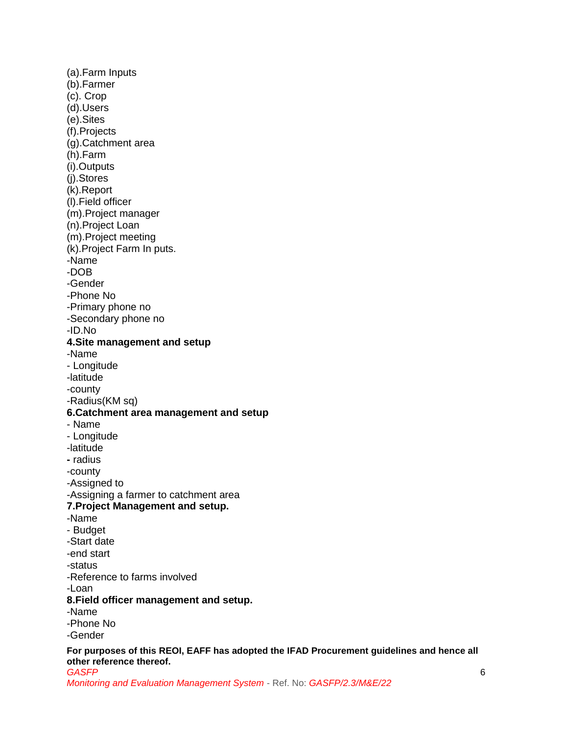(a).Farm Inputs (b).Farmer (c). Crop (d).Users (e).Sites (f).Projects (g).Catchment area (h).Farm (i).Outputs (j).Stores (k).Report (l).Field officer (m).Project manager (n).Project Loan (m).Project meeting (k).Project Farm In puts. -Name -DOB -Gender -Phone No -Primary phone no -Secondary phone no -ID.No **4.Site management and setup**  -Name - Longitude -latitude -county -Radius(KM sq) **6.Catchment area management and setup** - Name - Longitude -latitude **-** radius -county -Assigned to -Assigning a farmer to catchment area **7.Project Management and setup.** -Name - Budget -Start date -end start -status -Reference to farms involved -Loan **8.Field officer management and setup.** -Name -Phone No -Gender

**For purposes of this REOI, EAFF has adopted the IFAD Procurement guidelines and hence all other reference thereof.**

*GASFP* 6 *Monitoring and Evaluation Management System* - Ref. No: *GASFP/2.3/M&E/22*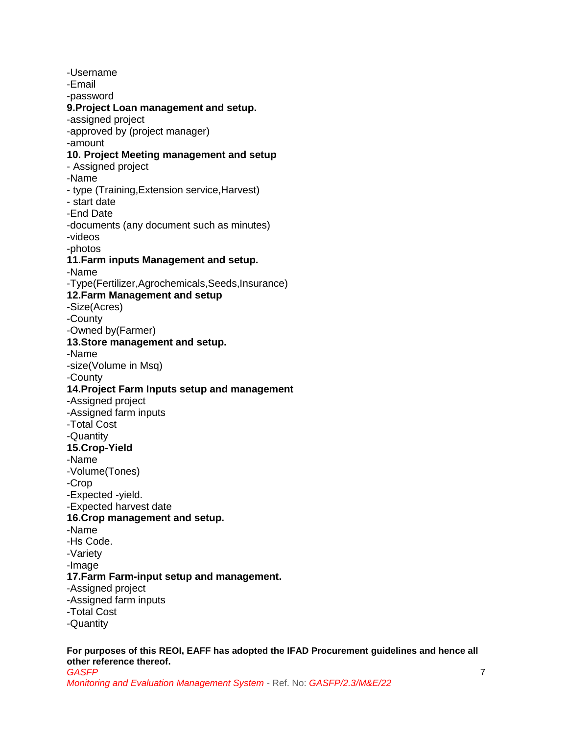-Username -Email -password **9.Project Loan management and setup.** -assigned project -approved by (project manager) -amount **10. Project Meeting management and setup** - Assigned project -Name - type (Training,Extension service,Harvest) - start date -End Date -documents (any document such as minutes) -videos -photos **11.Farm inputs Management and setup.** -Name -Type(Fertilizer,Agrochemicals,Seeds,Insurance) **12.Farm Management and setup** -Size(Acres) -County -Owned by(Farmer) **13.Store management and setup.** -Name -size(Volume in Msq) -County **14.Project Farm Inputs setup and management** -Assigned project -Assigned farm inputs -Total Cost -Quantity **15.Crop-Yield** -Name -Volume(Tones) -Crop -Expected -yield. -Expected harvest date **16.Crop management and setup.** -Name -Hs Code. -Variety -Image **17.Farm Farm-input setup and management.** -Assigned project -Assigned farm inputs -Total Cost -Quantity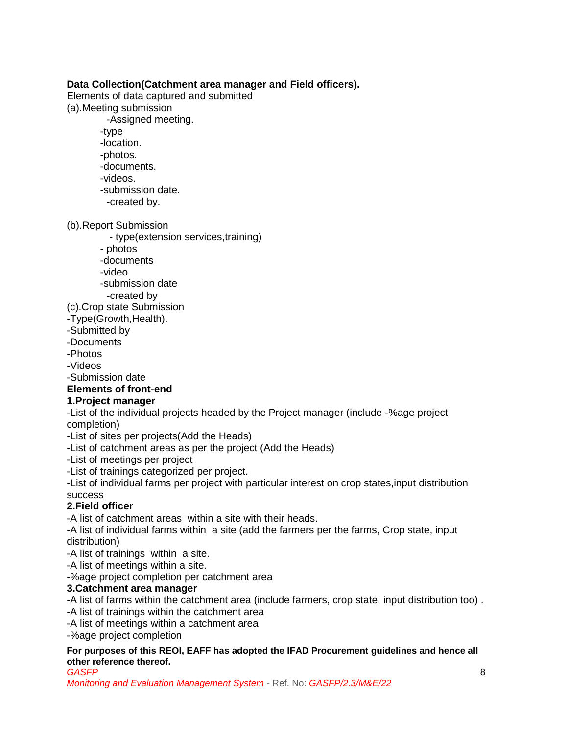#### **Data Collection(Catchment area manager and Field officers).**

Elements of data captured and submitted

(a).Meeting submission

-Assigned meeting.

-type

-location.

-photos.

-documents.

-videos.

-submission date. -created by.

(b).Report Submission

- type(extension services,training)

- photos

-documents

-video

-submission date

-created by

(c).Crop state Submission

-Type(Growth,Health).

-Submitted by

-Documents

-Photos

-Videos

-Submission date

#### **Elements of front-end**

#### **1.Project manager**

-List of the individual projects headed by the Project manager (include -%age project completion)

-List of sites per projects(Add the Heads)

-List of catchment areas as per the project (Add the Heads)

-List of meetings per project

-List of trainings categorized per project.

-List of individual farms per project with particular interest on crop states,input distribution success

#### **2.Field officer**

-A list of catchment areas within a site with their heads.

-A list of individual farms within a site (add the farmers per the farms, Crop state, input distribution)

-A list of trainings within a site.

-A list of meetings within a site.

-%age project completion per catchment area

#### **3.Catchment area manager**

-A list of farms within the catchment area (include farmers, crop state, input distribution too) .

-A list of trainings within the catchment area

-A list of meetings within a catchment area

-%age project completion

#### **For purposes of this REOI, EAFF has adopted the IFAD Procurement guidelines and hence all other reference thereof.**

*GASFP* 8

*Monitoring and Evaluation Management System* - Ref. No: *GASFP/2.3/M&E/22*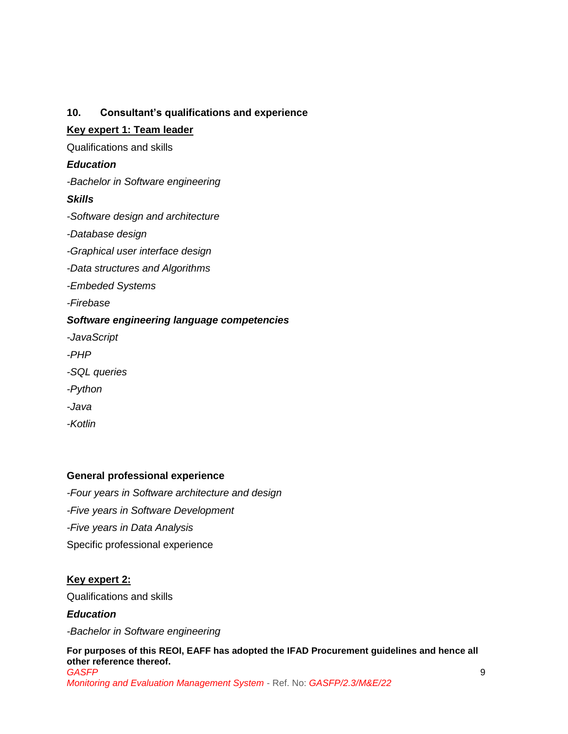#### **10. Consultant's qualifications and experience**

#### **Key expert 1: Team leader**

Qualifications and skills

#### *Education*

*-Bachelor in Software engineering*

#### *Skills*

*-Software design and architecture*

- *-Database design*
- *-Graphical user interface design*

*-Data structures and Algorithms*

- *-Embeded Systems*
- *-Firebase*

#### *Software engineering language competencies*

- *-JavaScript*
- *-PHP*
- *-SQL queries*
- *-Python*
- *-Java*
- *-Kotlin*

#### **General professional experience**

*-Four years in Software architecture and design -Five years in Software Development -Five years in Data Analysis*  Specific professional experience

#### **Key expert 2:**

Qualifications and skills

#### *Education*

*-Bachelor in Software engineering*

**For purposes of this REOI, EAFF has adopted the IFAD Procurement guidelines and hence all other reference thereof.** *GASFP* 9 *Monitoring and Evaluation Management System* - Ref. No: *GASFP/2.3/M&E/22*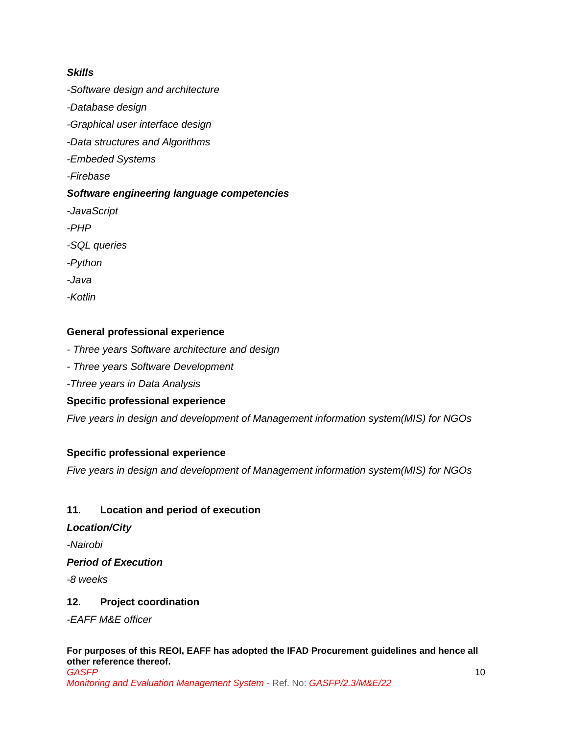#### *Skills*

- *-Software design and architecture*
- *-Database design*
- *-Graphical user interface design*
- *-Data structures and Algorithms*
- *-Embeded Systems*
- *-Firebase*

#### *Software engineering language competencies*

- *-JavaScript*
- *-PHP*
- *-SQL queries*
- *-Python*
- *-Java*
- *-Kotlin*

#### **General professional experience**

- *- Three years Software architecture and design*
- *- Three years Software Development*
- *-Three years in Data Analysis*

#### **Specific professional experience**

*Five years in design and development of Management information system(MIS) for NGOs*

#### **Specific professional experience**

*Five years in design and development of Management information system(MIS) for NGOs*

#### **11. Location and period of execution**

#### *Location/City*

*-Nairobi*

#### *Period of Execution*

*-8 weeks*

#### **12. Project coordination**

*-EAFF M&E officer*